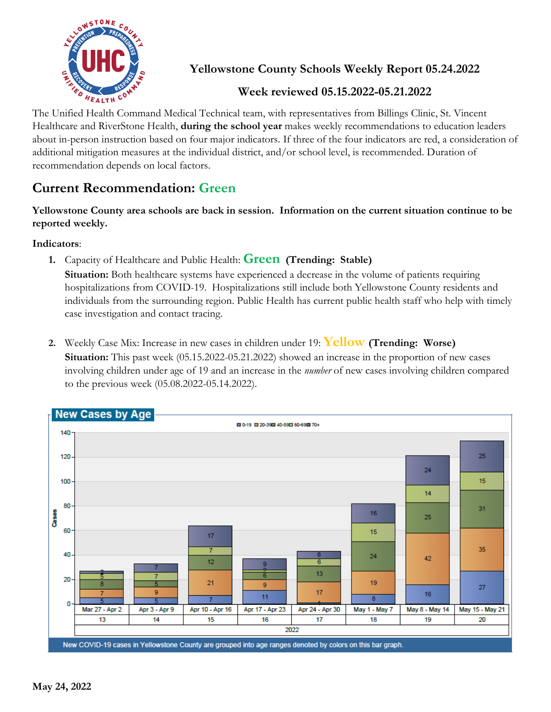

**Yellowstone County Schools Weekly Report 05.24.2022**

## **Week reviewed 05.15.2022-05.21.2022**

The Unified Health Command Medical Technical team, with representatives from Billings Clinic, St. Vincent Healthcare and RiverStone Health, **during the school year** makes weekly recommendations to education leaders about in-person instruction based on four major indicators. If three of the four indicators are red, a consideration of additional mitigation measures at the individual district, and/or school level, is recommended. Duration of recommendation depends on local factors.

## **Current Recommendation: Green**

**Yellowstone County area schools are back in session. Information on the current situation continue to be reported weekly.**

**Indicators**:

**1.** Capacity of Healthcare and Public Health: **Green (Trending: Stable)**

**Situation:** Both healthcare systems have experienced a decrease in the volume of patients requiring hospitalizations from COVID-19. Hospitalizations still include both Yellowstone County residents and individuals from the surrounding region. Public Health has current public health staff who help with timely case investigation and contact tracing.

**2.** Weekly Case Mix: Increase in new cases in children under 19: **Yellow (Trending: Worse) Situation:** This past week (05.15.2022-05.21.2022) showed an increase in the proportion of new cases involving children under age of 19 and an increase in the *number* of new cases involving children compared to the previous week (05.08.2022-05.14.2022).

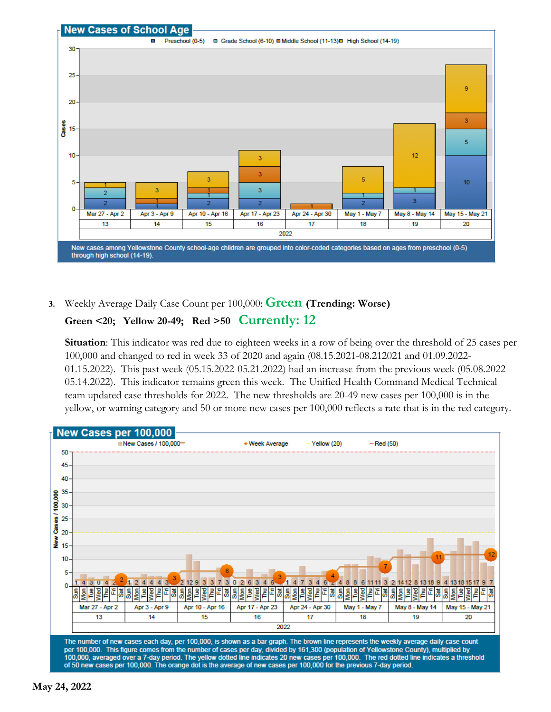

**3.** Weekly Average Daily Case Count per 100,000: **Green (Trending: Worse)**

## **Green <20; Yellow 20-49; Red >50 Currently: 12**

**Situation**: This indicator was red due to eighteen weeks in a row of being over the threshold of 25 cases per 100,000 and changed to red in week 33 of 2020 and again (08.15.2021-08.212021 and 01.09.2022- 01.15.2022). This past week (05.15.2022-05.21.2022) had an increase from the previous week (05.08.2022- 05.14.2022). This indicator remains green this week. The Unified Health Command Medical Technical team updated case thresholds for 2022. The new thresholds are 20-49 new cases per 100,000 is in the yellow, or warning category and 50 or more new cases per 100,000 reflects a rate that is in the red category.